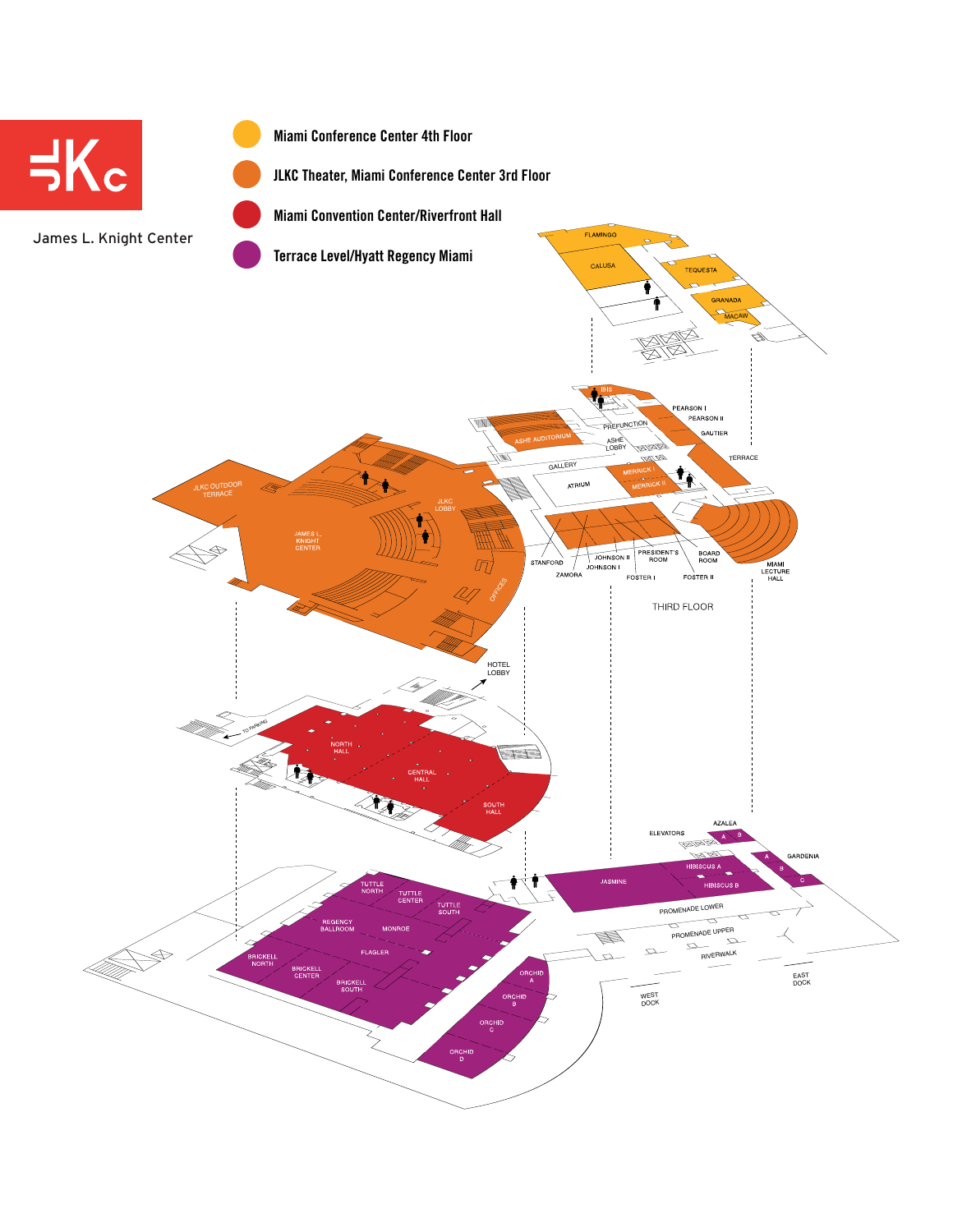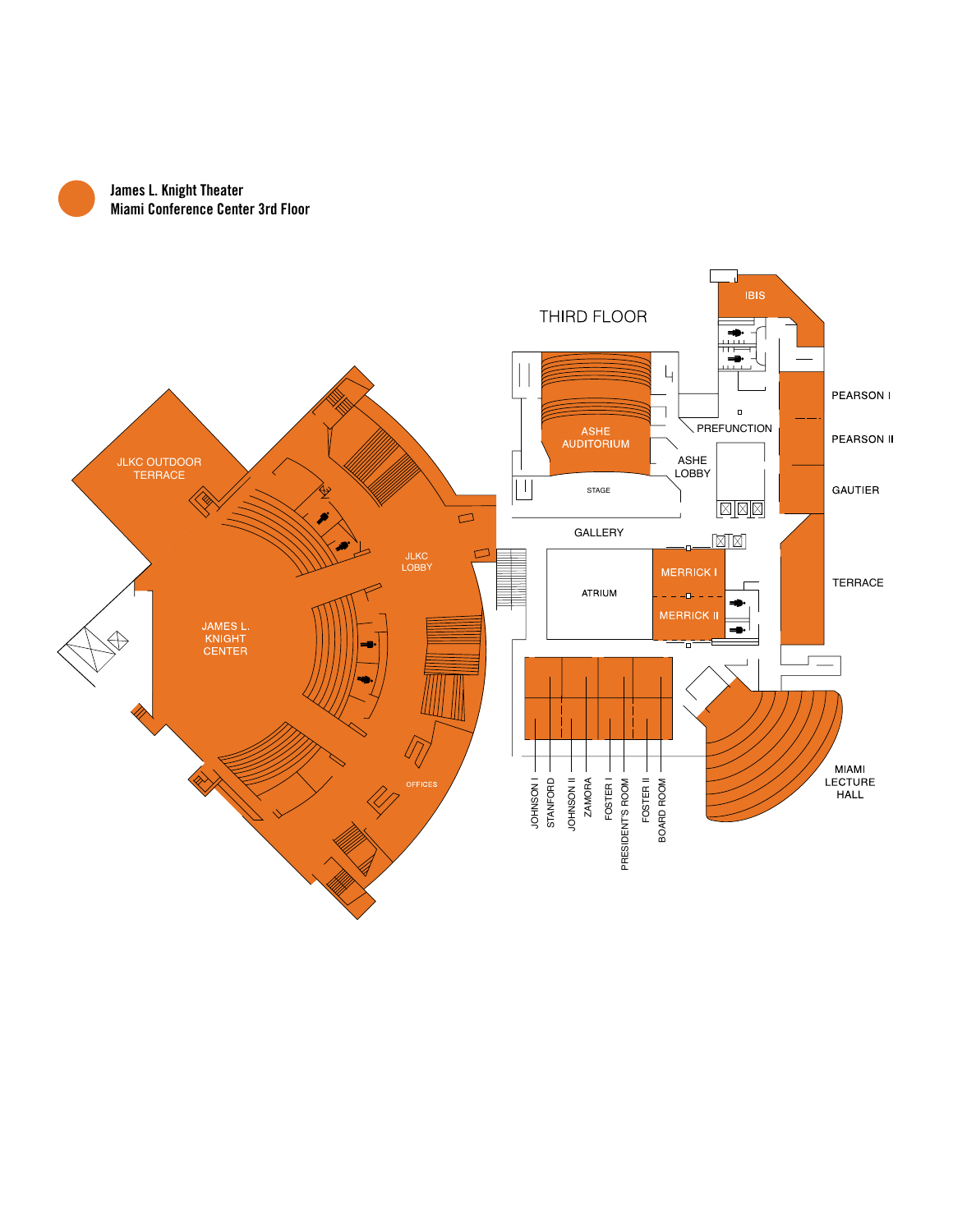

**James L. Knight Theater Miami Conference Center 3rd Floor**